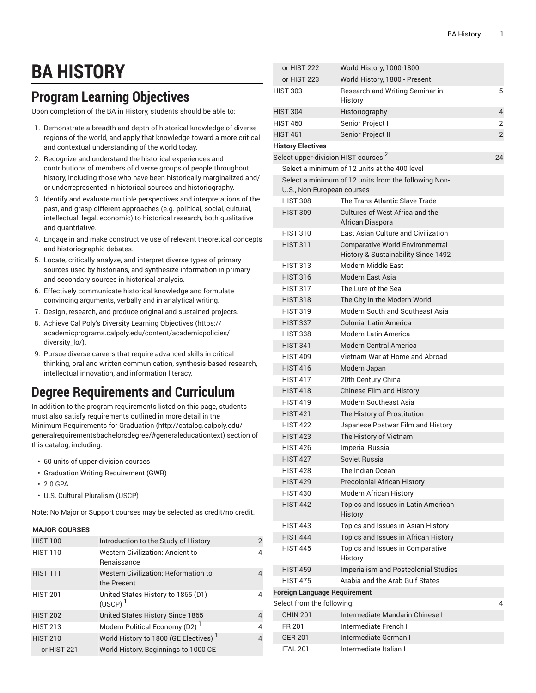# **BA HISTORY**

## **Program Learning Objectives**

Upon completion of the BA in History, students should be able to:

- 1. Demonstrate a breadth and depth of historical knowledge of diverse regions of the world, and apply that knowledge toward a more critical and contextual understanding of the world today.
- 2. Recognize and understand the historical experiences and contributions of members of diverse groups of people throughout history, including those who have been historically marginalized and/ or underrepresented in historical sources and historiography.
- 3. Identify and evaluate multiple perspectives and interpretations of the past, and grasp different approaches (e.g. political, social, cultural, intellectual, legal, economic) to historical research, both qualitative and quantitative.
- 4. Engage in and make constructive use of relevant theoretical concepts and historiographic debates.
- 5. Locate, critically analyze, and interpret diverse types of primary sources used by historians, and synthesize information in primary and secondary sources in historical analysis.
- 6. Effectively communicate historical knowledge and formulate convincing arguments, verbally and in analytical writing.
- 7. Design, research, and produce original and sustained projects.
- 8. Achieve Cal Poly's Diversity Learning [Objectives](https://academicprograms.calpoly.edu/content/academicpolicies/diversity_lo/) ([https://](https://academicprograms.calpoly.edu/content/academicpolicies/diversity_lo/) [academicprograms.calpoly.edu/content/academicpolicies/](https://academicprograms.calpoly.edu/content/academicpolicies/diversity_lo/) [diversity\\_lo/\)](https://academicprograms.calpoly.edu/content/academicpolicies/diversity_lo/).
- 9. Pursue diverse careers that require advanced skills in critical thinking, oral and written communication, synthesis-based research, intellectual innovation, and information literacy.

### **Degree Requirements and Curriculum**

In addition to the program requirements listed on this page, students must also satisfy requirements outlined in more detail in the Minimum [Requirements](http://catalog.calpoly.edu/generalrequirementsbachelorsdegree/#generaleducationtext) for Graduation ([http://catalog.calpoly.edu/](http://catalog.calpoly.edu/generalrequirementsbachelorsdegree/#generaleducationtext) [generalrequirementsbachelorsdegree/#generaleducationtext\)](http://catalog.calpoly.edu/generalrequirementsbachelorsdegree/#generaleducationtext) section of this catalog, including:

- 60 units of upper-division courses
- Graduation Writing Requirement (GWR)
- 2.0 GPA
- U.S. Cultural Pluralism (USCP)

Note: No Major or Support courses may be selected as credit/no credit.

#### **MAJOR COURSES**

| <b>HIST 100</b> | Introduction to the Study of History                   | 2 |
|-----------------|--------------------------------------------------------|---|
| <b>HIST 110</b> | <b>Western Civilization: Ancient to</b><br>Renaissance | 4 |
| <b>HIST 111</b> | Western Civilization: Reformation to<br>the Present    | 4 |
| <b>HIST 201</b> | United States History to 1865 (D1)<br>$(USCP)^1$       | 4 |
| <b>HIST 202</b> | United States History Since 1865                       | 4 |
| <b>HIST 213</b> | Modern Political Economy (D2) <sup>1</sup>             | 4 |
| <b>HIST 210</b> | World History to 1800 (GE Electives) <sup>1</sup>      | 4 |
| or HIST 221     | World History, Beginnings to 1000 CE                   |   |

| or HIST 222                                     | World History, 1000-1800                                                      |                |
|-------------------------------------------------|-------------------------------------------------------------------------------|----------------|
| or HIST 223                                     | World History, 1800 - Present                                                 |                |
| <b>HIST 303</b>                                 | Research and Writing Seminar in<br>History                                    | 5              |
| <b>HIST 304</b>                                 | Historiography                                                                | 4              |
| <b>HIST 460</b>                                 | Senior Project I                                                              | 2              |
| <b>HIST 461</b>                                 | Senior Project II                                                             | $\overline{2}$ |
| <b>History Electives</b>                        |                                                                               |                |
| Select upper-division HIST courses <sup>2</sup> |                                                                               | 24             |
|                                                 | Select a minimum of 12 units at the 400 level                                 |                |
| U.S., Non-European courses                      | Select a minimum of 12 units from the following Non-                          |                |
| <b>HIST 308</b>                                 | The Trans-Atlantic Slave Trade                                                |                |
| <b>HIST 309</b>                                 | Cultures of West Africa and the<br>African Diaspora                           |                |
| <b>HIST 310</b>                                 | East Asian Culture and Civilization                                           |                |
| <b>HIST 311</b>                                 | <b>Comparative World Environmental</b><br>History & Sustainability Since 1492 |                |
| <b>HIST 313</b>                                 | Modern Middle East                                                            |                |
| <b>HIST 316</b>                                 | Modern East Asia                                                              |                |
| <b>HIST 317</b>                                 | The Lure of the Sea                                                           |                |
| <b>HIST 318</b>                                 | The City in the Modern World                                                  |                |
| <b>HIST 319</b>                                 | Modern South and Southeast Asia                                               |                |
| <b>HIST 337</b>                                 | Colonial Latin America                                                        |                |
| <b>HIST 338</b>                                 | Modern Latin America                                                          |                |
| <b>HIST 341</b>                                 | Modern Central America                                                        |                |
| <b>HIST 409</b>                                 | Vietnam War at Home and Abroad                                                |                |
| <b>HIST 416</b>                                 | Modern Japan                                                                  |                |
| <b>HIST 417</b>                                 | 20th Century China                                                            |                |
| <b>HIST 418</b>                                 | <b>Chinese Film and History</b>                                               |                |
| <b>HIST 419</b>                                 | Modern Southeast Asia                                                         |                |
| <b>HIST 421</b>                                 | The History of Prostitution                                                   |                |
| <b>HIST 422</b>                                 | Japanese Postwar Film and History                                             |                |
| <b>HIST 423</b>                                 | The History of Vietnam                                                        |                |
| <b>HIST 426</b>                                 | <b>Imperial Russia</b>                                                        |                |
| <b>HIST 427</b>                                 | Soviet Russia                                                                 |                |
| <b>HIST 428</b>                                 | The Indian Ocean                                                              |                |
| <b>HIST 429</b>                                 | <b>Precolonial African History</b>                                            |                |
| <b>HIST 430</b>                                 | <b>Modern African History</b>                                                 |                |
| <b>HIST 442</b>                                 | Topics and Issues in Latin American<br>History                                |                |
| <b>HIST 443</b>                                 | Topics and Issues in Asian History                                            |                |
| <b>HIST 444</b>                                 | Topics and Issues in African History                                          |                |
| <b>HIST 445</b>                                 | Topics and Issues in Comparative<br>History                                   |                |
| <b>HIST 459</b>                                 | Imperialism and Postcolonial Studies                                          |                |
| <b>HIST 475</b>                                 | Arabia and the Arab Gulf States                                               |                |
| <b>Foreign Language Requirement</b>             |                                                                               |                |
| Select from the following:                      |                                                                               | 4              |
| <b>CHIN 201</b>                                 | Intermediate Mandarin Chinese I                                               |                |
| FR 201                                          | Intermediate French I                                                         |                |
| <b>GER 201</b>                                  | Intermediate German I                                                         |                |
| <b>ITAL 201</b>                                 | Intermediate Italian I                                                        |                |